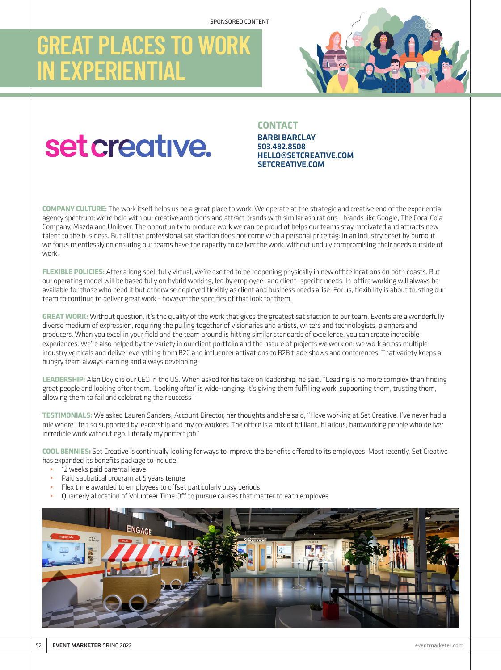## **GREAT PLACES TO WORK IN EXPERIENTIAL**



# set creative.

### **CONTACT**

BARBI BARCLAY 503.482.8508 HELLO@SETCREATIVE.COM SETCREATIVE.COM

**COMPANY CULTURE:** The work itself helps us be a great place to work. We operate at the strategic and creative end of the experiential agency spectrum; we're bold with our creative ambitions and attract brands with similar aspirations - brands like Google, The Coca-Cola Company, Mazda and Unilever. The opportunity to produce work we can be proud of helps our teams stay motivated and attracts new talent to the business. But all that professional satisfaction does not come with a personal price tag: in an industry beset by burnout, we focus relentlessly on ensuring our teams have the capacity to deliver the work, without unduly compromising their needs outside of work.

**FLEXIBLE POLICIES:** After a long spell fully virtual, we're excited to be reopening physically in new office locations on both coasts. But our operating model will be based fully on hybrid working, led by employee- and client- specific needs. In-office working will always be available for those who need it but otherwise deployed flexibly as client and business needs arise. For us, flexibility is about trusting our team to continue to deliver great work - however the specifics of that look for them.

**GREAT WORK:** Without question, it's the quality of the work that gives the greatest satisfaction to our team. Events are a wonderfully diverse medium of expression, requiring the pulling together of visionaries and artists, writers and technologists, planners and producers. When you excel in your field and the team around is hitting similar standards of excellence, you can create incredible experiences. We're also helped by the variety in our client portfolio and the nature of projects we work on: we work across multiple industry verticals and deliver everything from B2C and influencer activations to B2B trade shows and conferences. That variety keeps a hungry team always learning and always developing.

**LEADERSHIP:** Alan Doyle is our CEO in the US. When asked for his take on leadership, he said, "Leading is no more complex than finding great people and looking after them. 'Looking after' is wide-ranging: it's giving them fulfilling work, supporting them, trusting them, allowing them to fail and celebrating their success."

**TESTIMONIALS:** We asked Lauren Sanders, Account Director, her thoughts and she said, "I love working at Set Creative. I've never had a role where I felt so supported by leadership and my co-workers. The office is a mix of brilliant, hilarious, hardworking people who deliver incredible work without ego. Literally my perfect job."

**COOL BENNIES:** Set Creative is continually looking for ways to improve the benefits offered to its employees. Most recently, Set Creative has expanded its benefits package to include:

- 12 weeks paid parental leave
- Paid sabbatical program at 5 years tenure
- Flex time awarded to employees to offset particularly busy periods
- Quarterly allocation of Volunteer Time Off to pursue causes that matter to each employee